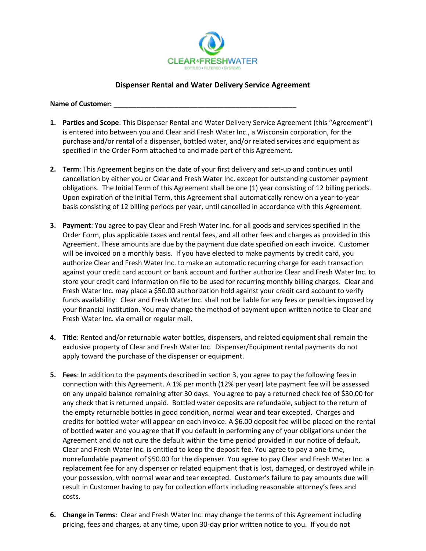

## **Dispenser Rental and Water Delivery Service Agreement**

Name of Customer:

- **1. Parties and Scope**: This Dispenser Rental and Water Delivery Service Agreement (this "Agreement") is entered into between you and Clear and Fresh Water Inc., a Wisconsin corporation, for the purchase and/or rental of a dispenser, bottled water, and/or related services and equipment as specified in the Order Form attached to and made part of this Agreement.
- **2. Term**: This Agreement begins on the date of your first delivery and set-up and continues until cancellation by either you or Clear and Fresh Water Inc. except for outstanding customer payment obligations. The Initial Term of this Agreement shall be one (1) year consisting of 12 billing periods. Upon expiration of the Initial Term, this Agreement shall automatically renew on a year-to-year basis consisting of 12 billing periods per year, until cancelled in accordance with this Agreement.
- **3. Payment**: You agree to pay Clear and Fresh Water Inc. for all goods and services specified in the Order Form, plus applicable taxes and rental fees, and all other fees and charges as provided in this Agreement. These amounts are due by the payment due date specified on each invoice. Customer will be invoiced on a monthly basis. If you have elected to make payments by credit card, you authorize Clear and Fresh Water Inc. to make an automatic recurring charge for each transaction against your credit card account or bank account and further authorize Clear and Fresh Water Inc. to store your credit card information on file to be used for recurring monthly billing charges. Clear and Fresh Water Inc. may place a \$50.00 authorization hold against your credit card account to verify funds availability. Clear and Fresh Water Inc. shall not be liable for any fees or penalties imposed by your financial institution. You may change the method of payment upon written notice to Clear and Fresh Water Inc. via email or regular mail.
- **4. Title**: Rented and/or returnable water bottles, dispensers, and related equipment shall remain the exclusive property of Clear and Fresh Water Inc. Dispenser/Equipment rental payments do not apply toward the purchase of the dispenser or equipment.
- **5. Fees**: In addition to the payments described in section 3, you agree to pay the following fees in connection with this Agreement. A 1% per month (12% per year) late payment fee will be assessed on any unpaid balance remaining after 30 days. You agree to pay a returned check fee of \$30.00 for any check that is returned unpaid. Bottled water deposits are refundable, subject to the return of the empty returnable bottles in good condition, normal wear and tear excepted. Charges and credits for bottled water will appear on each invoice. A \$6.00 deposit fee will be placed on the rental of bottled water and you agree that if you default in performing any of your obligations under the Agreement and do not cure the default within the time period provided in our notice of default, Clear and Fresh Water Inc. is entitled to keep the deposit fee. You agree to pay a one-time, nonrefundable payment of \$50.00 for the dispenser. You agree to pay Clear and Fresh Water Inc. a replacement fee for any dispenser or related equipment that is lost, damaged, or destroyed while in your possession, with normal wear and tear excepted. Customer's failure to pay amounts due will result in Customer having to pay for collection efforts including reasonable attorney's fees and costs.
- **6. Change in Terms**: Clear and Fresh Water Inc. may change the terms of this Agreement including pricing, fees and charges, at any time, upon 30-day prior written notice to you. If you do not